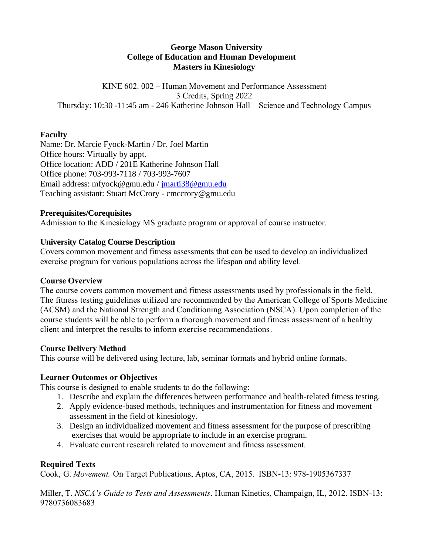#### **George Mason University College of Education and Human Development Masters in Kinesiology**

KINE 602. 002 – Human Movement and Performance Assessment 3 Credits, Spring 2022 Thursday: 10:30 -11:45 am - 246 Katherine Johnson Hall – Science and Technology Campus

#### **Faculty**

Name: Dr. Marcie Fyock-Martin / Dr. Joel Martin Office hours: Virtually by appt. Office location: ADD / 201E Katherine Johnson Hall Office phone: 703-993-7118 / 703-993-7607 Email address: mfyock@gmu.edu / [jmarti38@gmu.edu](mailto:jmarti38@gmu.edu) Teaching assistant: Stuart McCrory - cmccrory@gmu.edu

#### **Prerequisites/Corequisites**

Admission to the Kinesiology MS graduate program or approval of course instructor.

#### **University Catalog Course Description**

Covers common movement and fitness assessments that can be used to develop an individualized exercise program for various populations across the lifespan and ability level.

#### **Course Overview**

The course covers common movement and fitness assessments used by professionals in the field. The fitness testing guidelines utilized are recommended by the American College of Sports Medicine (ACSM) and the National Strength and Conditioning Association (NSCA). Upon completion of the course students will be able to perform a thorough movement and fitness assessment of a healthy client and interpret the results to inform exercise recommendations.

#### **Course Delivery Method**

This course will be delivered using lecture, lab, seminar formats and hybrid online formats.

#### **Learner Outcomes or Objectives**

This course is designed to enable students to do the following:

- 1. Describe and explain the differences between performance and health-related fitness testing.
- 2. Apply evidence-based methods, techniques and instrumentation for fitness and movement assessment in the field of kinesiology.
- 3. Design an individualized movement and fitness assessment for the purpose of prescribing exercises that would be appropriate to include in an exercise program.
- 4. Evaluate current research related to movement and fitness assessment.

#### **Required Texts**

Cook, G. *Movement.* On Target Publications, Aptos, CA, 2015. ISBN-13: 978-1905367337

Miller, T. *NSCA's Guide to Tests and Assessments*. Human Kinetics, Champaign, IL, 2012. ISBN-13: 9780736083683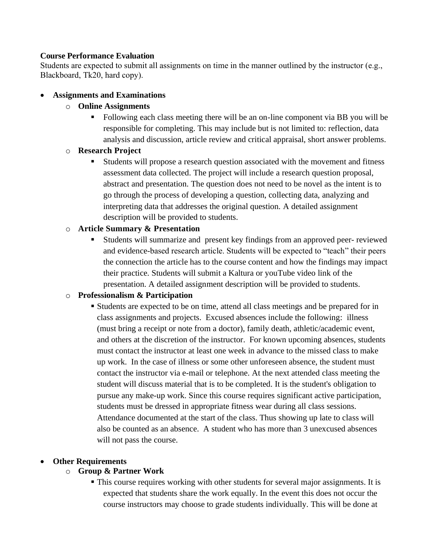#### **Course Performance Evaluation**

Students are expected to submit all assignments on time in the manner outlined by the instructor (e.g., Blackboard, Tk20, hard copy).

#### • **Assignments and Examinations**

#### o **Online Assignments**

▪ Following each class meeting there will be an on-line component via BB you will be responsible for completing. This may include but is not limited to: reflection, data analysis and discussion, article review and critical appraisal, short answer problems.

#### o **Research Project**

Students will propose a research question associated with the movement and fitness assessment data collected. The project will include a research question proposal, abstract and presentation. The question does not need to be novel as the intent is to go through the process of developing a question, collecting data, analyzing and interpreting data that addresses the original question. A detailed assignment description will be provided to students.

#### o **Article Summary & Presentation**

▪ Students will summarize and present key findings from an approved peer- reviewed and evidence-based research article. Students will be expected to "teach" their peers the connection the article has to the course content and how the findings may impact their practice. Students will submit a Kaltura or youTube video link of the presentation. A detailed assignment description will be provided to students.

#### o **Professionalism & Participation**

▪ Students are expected to be on time, attend all class meetings and be prepared for in class assignments and projects. Excused absences include the following: illness (must bring a receipt or note from a doctor), family death, athletic/academic event, and others at the discretion of the instructor. For known upcoming absences, students must contact the instructor at least one week in advance to the missed class to make up work. In the case of illness or some other unforeseen absence, the student must contact the instructor via e-mail or telephone. At the next attended class meeting the student will discuss material that is to be completed. It is the student's obligation to pursue any make-up work. Since this course requires significant active participation, students must be dressed in appropriate fitness wear during all class sessions. Attendance documented at the start of the class. Thus showing up late to class will also be counted as an absence. A student who has more than 3 unexcused absences will not pass the course.

#### • **Other Requirements**

#### o **Group & Partner Work**

▪ This course requires working with other students for several major assignments. It is expected that students share the work equally. In the event this does not occur the course instructors may choose to grade students individually. This will be done at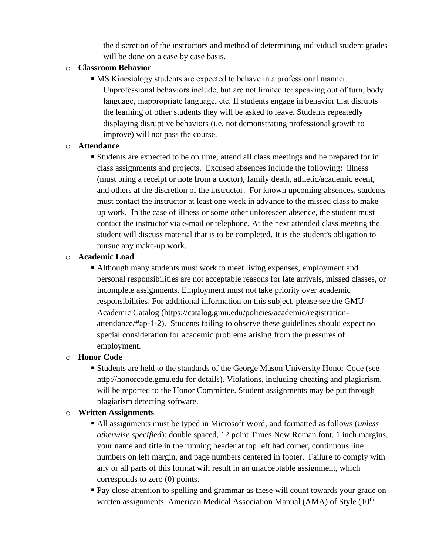the discretion of the instructors and method of determining individual student grades will be done on a case by case basis.

### o **Classroom Behavior**

▪ MS Kinesiology students are expected to behave in a professional manner. Unprofessional behaviors include, but are not limited to: speaking out of turn, body language, inappropriate language, etc. If students engage in behavior that disrupts the learning of other students they will be asked to leave. Students repeatedly displaying disruptive behaviors (i.e. not demonstrating professional growth to improve) will not pass the course.

#### o **Attendance**

▪ Students are expected to be on time, attend all class meetings and be prepared for in class assignments and projects. Excused absences include the following: illness (must bring a receipt or note from a doctor), family death, athletic/academic event, and others at the discretion of the instructor. For known upcoming absences, students must contact the instructor at least one week in advance to the missed class to make up work. In the case of illness or some other unforeseen absence, the student must contact the instructor via e-mail or telephone. At the next attended class meeting the student will discuss material that is to be completed. It is the student's obligation to pursue any make-up work.

## o **Academic Load**

▪ Although many students must work to meet living expenses, employment and personal responsibilities are not acceptable reasons for late arrivals, missed classes, or incomplete assignments. Employment must not take priority over academic responsibilities. For additional information on this subject, please see the GMU Academic Catalog (https://catalog.gmu.edu/policies/academic/registrationattendance/#ap-1-2). Students failing to observe these guidelines should expect no special consideration for academic problems arising from the pressures of employment.

# o **Honor Code**

▪ Students are held to the standards of the George Mason University Honor Code (see http://honorcode.gmu.edu for details). Violations, including cheating and plagiarism, will be reported to the Honor Committee. Student assignments may be put through plagiarism detecting software.

# o **Written Assignments**

- All assignments must be typed in Microsoft Word, and formatted as follows (*unless otherwise specified*): double spaced, 12 point Times New Roman font, 1 inch margins, your name and title in the running header at top left had corner, continuous line numbers on left margin, and page numbers centered in footer. Failure to comply with any or all parts of this format will result in an unacceptable assignment, which corresponds to zero (0) points.
- Pay close attention to spelling and grammar as these will count towards your grade on written assignments. American Medical Association Manual (AMA) of Style (10<sup>th</sup>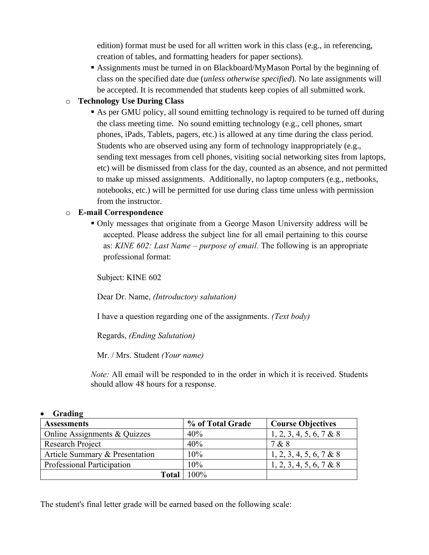edition) format must be used for all written work in this class (e.g., in referencing, creation of tables, and formatting headers for paper sections).

▪ Assignments must be turned in on Blackboard/MyMason Portal by the beginning of class on the specified date due (*unless otherwise specified*). No late assignments will be accepted. It is recommended that students keep copies of all submitted work.

### o **Technology Use During Class**

■ As per GMU policy, all sound emitting technology is required to be turned off during the class meeting time. No sound emitting technology (e.g., cell phones, smart phones, iPads, Tablets, pagers, etc.) is allowed at any time during the class period. Students who are observed using any form of technology inappropriately (e.g., sending text messages from cell phones, visiting social networking sites from laptops, etc) will be dismissed from class for the day, counted as an absence, and not permitted to make up missed assignments. Additionally, no laptop computers (e.g., netbooks, notebooks, etc.) will be permitted for use during class time unless with permission from the instructor.

### o **E-mail Correspondence**

▪ Only messages that originate from a George Mason University address will be accepted. Please address the subject line for all email pertaining to this course as: *KINE 602: Last Name – purpose of email.* The following is an appropriate professional format:

Subject: KINE 602

Dear Dr. Name, *(Introductory salutation)*

I have a question regarding one of the assignments. *(Text body)*

Regards, *(Ending Salutation)*

Mr. / Mrs. Student *(Your name)*

*Note:* All email will be responded to in the order in which it is received. Students should allow 48 hours for a response.

#### • **Grading**

| <b>Assessments</b>             | % of Total Grade | <b>Course Objectives</b> |
|--------------------------------|------------------|--------------------------|
| Online Assignments & Quizzes   | 40%              | 1, 2, 3, 4, 5, 6, 7 & 8  |
| Research Project               | 40%              | 7 & 8                    |
| Article Summary & Presentation | 10%              | 1, 2, 3, 4, 5, 6, 7 & 8  |
| Professional Participation     | 10%              | 1, 2, 3, 4, 5, 6, 7 & 8  |
| <b>Total</b>                   | 100%             |                          |

The student's final letter grade will be earned based on the following scale: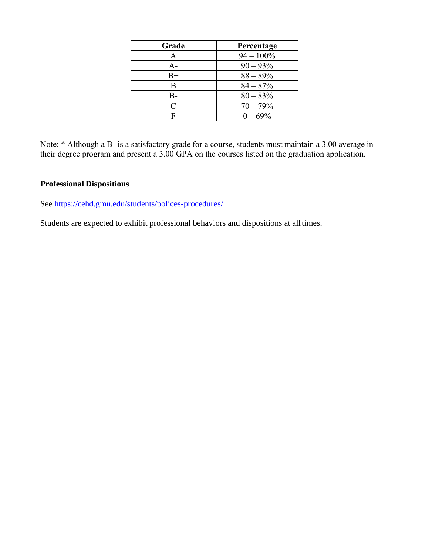| Grade     | Percentage   |
|-----------|--------------|
| A         | $94 - 100\%$ |
| $A -$     | $90 - 93\%$  |
| $B+$      | $88 - 89\%$  |
| B         | $84 - 87%$   |
| B-        | $80 - 83\%$  |
| $\subset$ | $70 - 79%$   |
|           | $0 - 69\%$   |

Note: \* Although a B- is a satisfactory grade for a course, students must maintain a 3.00 average in their degree program and present a 3.00 GPA on the courses listed on the graduation application.

#### **Professional Dispositions**

See<https://cehd.gmu.edu/students/polices-procedures/>

Students are expected to exhibit professional behaviors and dispositions at alltimes.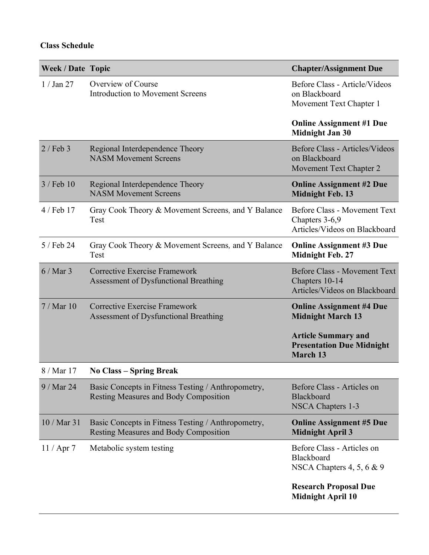## **Class Schedule**

| <b>Week / Date Topic</b> |                                                                                                    | <b>Chapter/Assignment Due</b>                                                          |
|--------------------------|----------------------------------------------------------------------------------------------------|----------------------------------------------------------------------------------------|
| $1/$ Jan $27$            | Overview of Course<br><b>Introduction to Movement Screens</b>                                      | Before Class - Article/Videos<br>on Blackboard<br>Movement Text Chapter 1              |
|                          |                                                                                                    | <b>Online Assignment #1 Due</b><br><b>Midnight Jan 30</b>                              |
| $2/$ Feb 3               | Regional Interdependence Theory<br><b>NASM Movement Screens</b>                                    | Before Class - Articles/Videos<br>on Blackboard<br>Movement Text Chapter 2             |
| $3$ / Feb 10             | Regional Interdependence Theory<br><b>NASM Movement Screens</b>                                    | <b>Online Assignment #2 Due</b><br><b>Midnight Feb. 13</b>                             |
| 4 / Feb 17               | Gray Cook Theory & Movement Screens, and Y Balance<br>Test                                         | <b>Before Class - Movement Text</b><br>Chapters 3-6,9<br>Articles/Videos on Blackboard |
| 5 / Feb 24               | Gray Cook Theory & Movement Screens, and Y Balance<br>Test                                         | <b>Online Assignment #3 Due</b><br><b>Midnight Feb. 27</b>                             |
| $6/Mar$ 3                | <b>Corrective Exercise Framework</b><br>Assessment of Dysfunctional Breathing                      | <b>Before Class - Movement Text</b><br>Chapters 10-14<br>Articles/Videos on Blackboard |
| 7/Mar10                  | <b>Corrective Exercise Framework</b><br>Assessment of Dysfunctional Breathing                      | <b>Online Assignment #4 Due</b><br><b>Midnight March 13</b>                            |
|                          |                                                                                                    | <b>Article Summary and</b><br><b>Presentation Due Midnight</b><br><b>March 13</b>      |
| 8 / Mar 17               | <b>No Class – Spring Break</b>                                                                     |                                                                                        |
| 9 / Mar 24               | Basic Concepts in Fitness Testing / Anthropometry,<br><b>Resting Measures and Body Composition</b> | Before Class - Articles on<br>Blackboard<br>NSCA Chapters 1-3                          |
| 10 / Mar 31              | Basic Concepts in Fitness Testing / Anthropometry,<br><b>Resting Measures and Body Composition</b> | <b>Online Assignment #5 Due</b><br><b>Midnight April 3</b>                             |
| $11 /$ Apr 7             | Metabolic system testing                                                                           | Before Class - Articles on<br>Blackboard<br>NSCA Chapters $4, 5, 6 \& 9$               |
|                          |                                                                                                    | <b>Research Proposal Due</b><br><b>Midnight April 10</b>                               |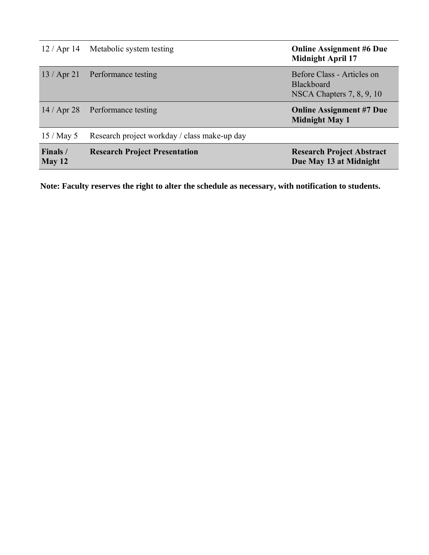| $12 /$ Apr 14      | Metabolic system testing                     | <b>Online Assignment #6 Due</b><br><b>Midnight April 17</b>                    |
|--------------------|----------------------------------------------|--------------------------------------------------------------------------------|
| $13 /$ Apr 21      | Performance testing                          | Before Class - Articles on<br><b>Blackboard</b><br>NSCA Chapters $7, 8, 9, 10$ |
| $14/$ Apr 28       | Performance testing                          | <b>Online Assignment #7 Due</b><br><b>Midnight May 1</b>                       |
| 15/May5            | Research project workday / class make-up day |                                                                                |
| Finals /<br>May 12 | <b>Research Project Presentation</b>         | <b>Research Project Abstract</b><br>Due May 13 at Midnight                     |

**Note: Faculty reserves the right to alter the schedule as necessary, with notification to students.**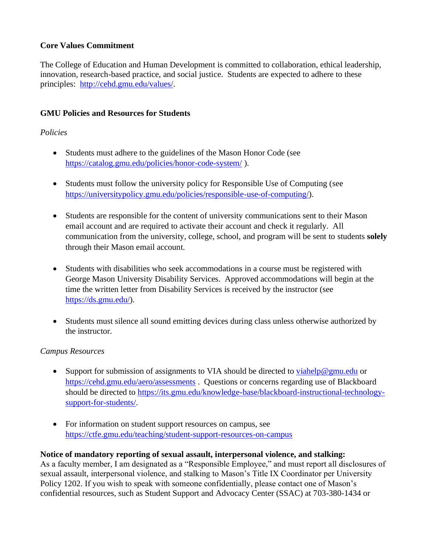#### **Core Values Commitment**

The College of Education and Human Development is committed to collaboration, ethical leadership, innovation, research-based practice, and social justice. Students are expected to adhere to these principles: [http://cehd.gmu.edu/values/.](http://cehd.gmu.edu/values/)

### **GMU Policies and Resources for Students**

#### *Policies*

- Students must adhere to the guidelines of the Mason Honor Code (see <https://catalog.gmu.edu/policies/honor-code-system/> ).
- Students must follow the university policy for Responsible Use of Computing (see [https://universitypolicy.gmu.edu/policies/responsible-use-of-computing/\)](https://universitypolicy.gmu.edu/policies/responsible-use-of-computing/).
- Students are responsible for the content of university communications sent to their Mason email account and are required to activate their account and check it regularly. All communication from the university, college, school, and program will be sent to students **solely** through their Mason email account.
- Students with disabilities who seek accommodations in a course must be registered with George Mason University Disability Services. Approved accommodations will begin at the time the written letter from Disability Services is received by the instructor (see [https://ds.gmu.edu/\)](https://ds.gmu.edu/).
- Students must silence all sound emitting devices during class unless otherwise authorized by the instructor.

#### *Campus Resources*

- Support for submission of assignments to VIA should be directed to [viahelp@gmu.edu](mailto:viahelp@gmu.edu) or <https://cehd.gmu.edu/aero/assessments> . Questions or concerns regarding use of Blackboard should be directed to [https://its.gmu.edu/knowledge-base/blackboard-instructional-technology](https://its.gmu.edu/knowledge-base/blackboard-instructional-technology-support-for-students/)[support-for-students/.](https://its.gmu.edu/knowledge-base/blackboard-instructional-technology-support-for-students/)
- For information on student support resources on campus, see <https://ctfe.gmu.edu/teaching/student-support-resources-on-campus>

#### **Notice of mandatory reporting of sexual assault, interpersonal violence, and stalking:**

As a faculty member, I am designated as a "Responsible Employee," and must report all disclosures of sexual assault, interpersonal violence, and stalking to Mason's Title IX Coordinator per University Policy 1202. If you wish to speak with someone confidentially, please contact one of Mason's confidential resources, such as Student Support and Advocacy Center (SSAC) at 703-380-1434 or